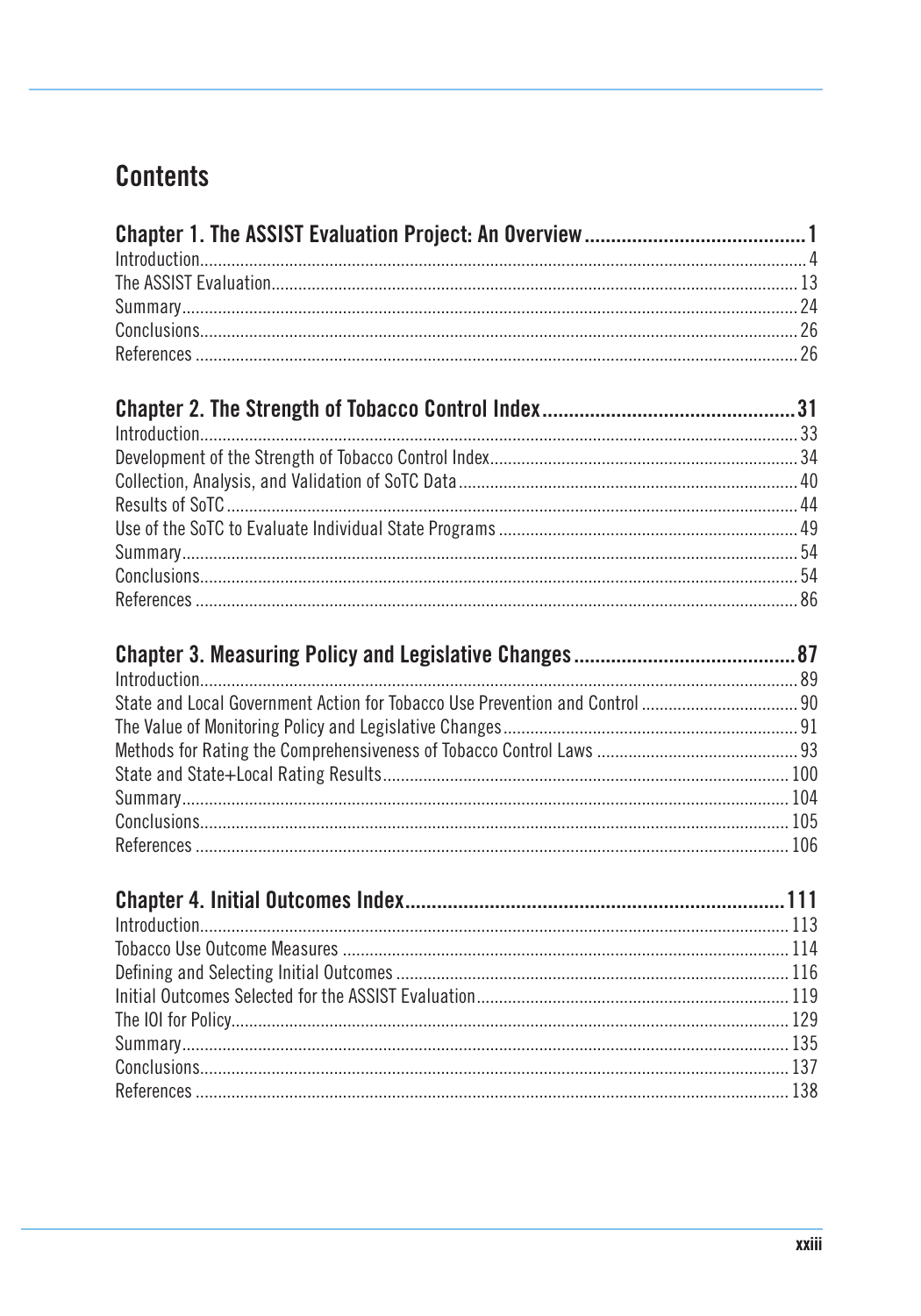# **Contents**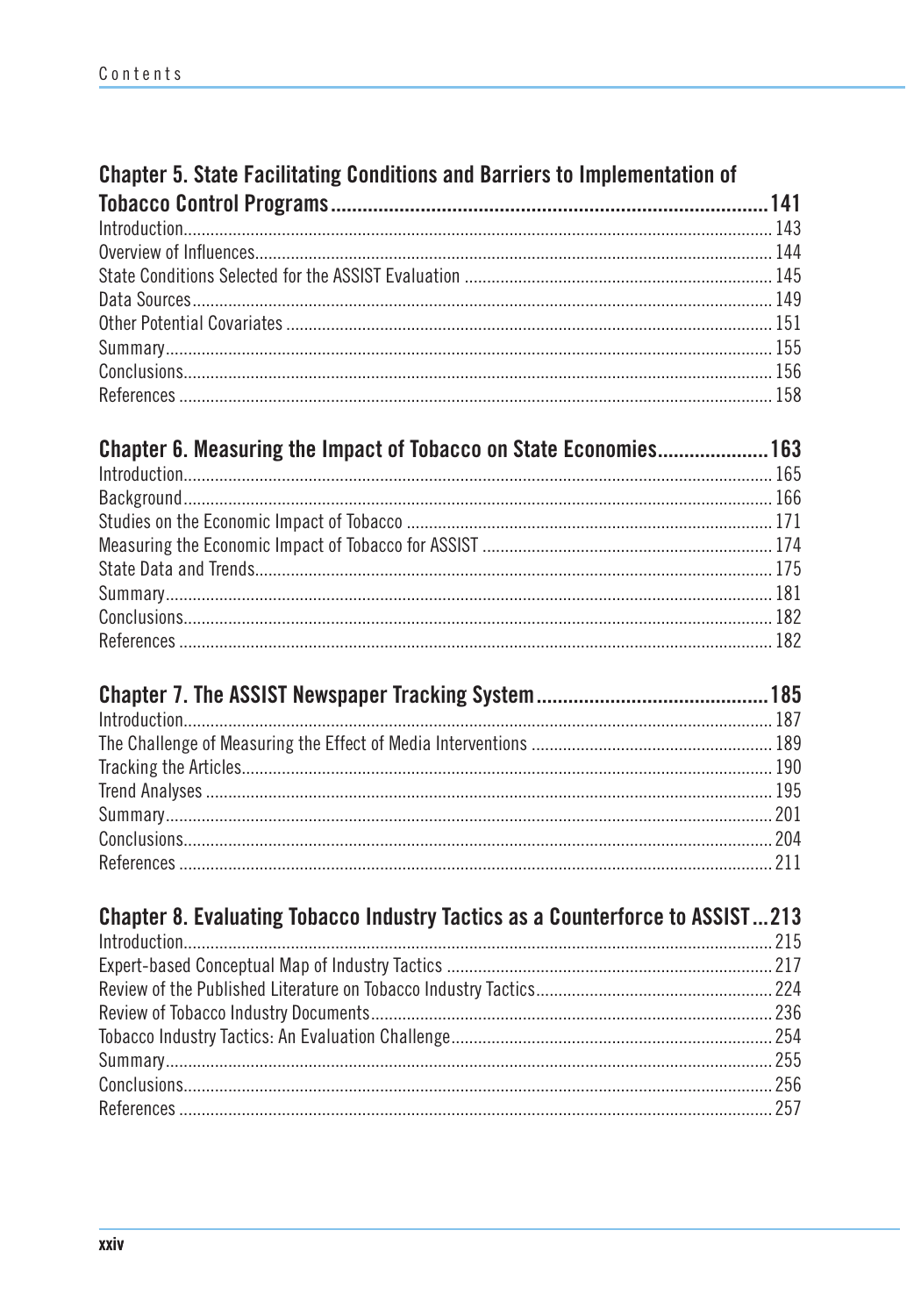### Chapter 5. State Facilitating Conditions and Barriers to Implementation of

| Chapter 6. Measuring the Impact of Tobacco on State Economies 163 |  |
|-------------------------------------------------------------------|--|
|                                                                   |  |
|                                                                   |  |
|                                                                   |  |
|                                                                   |  |
|                                                                   |  |
|                                                                   |  |
|                                                                   |  |
|                                                                   |  |

| Chapter 8. Evaluating Tobacco Industry Tactics as a Counterforce to ASSIST213 |  |
|-------------------------------------------------------------------------------|--|
|                                                                               |  |
|                                                                               |  |
|                                                                               |  |
|                                                                               |  |
|                                                                               |  |
|                                                                               |  |
|                                                                               |  |
|                                                                               |  |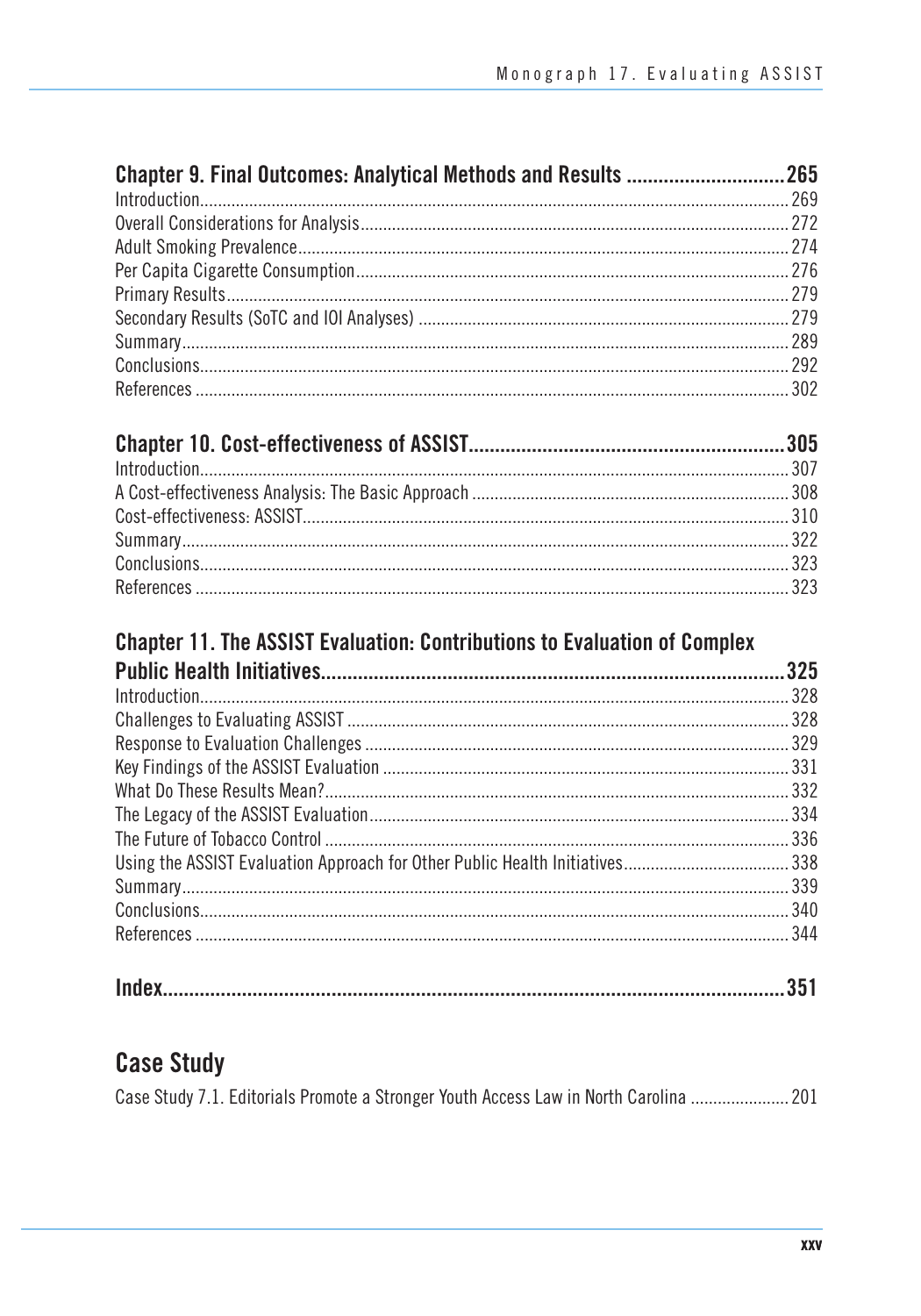#### 

#### **Chapter 11. The ASSIST Evaluation: Contributions to Evaluation of Complex**

| 325 |
|-----|
|     |
|     |
|     |
|     |
|     |
|     |
|     |
|     |
|     |
|     |
|     |

|--|

#### **Case Study**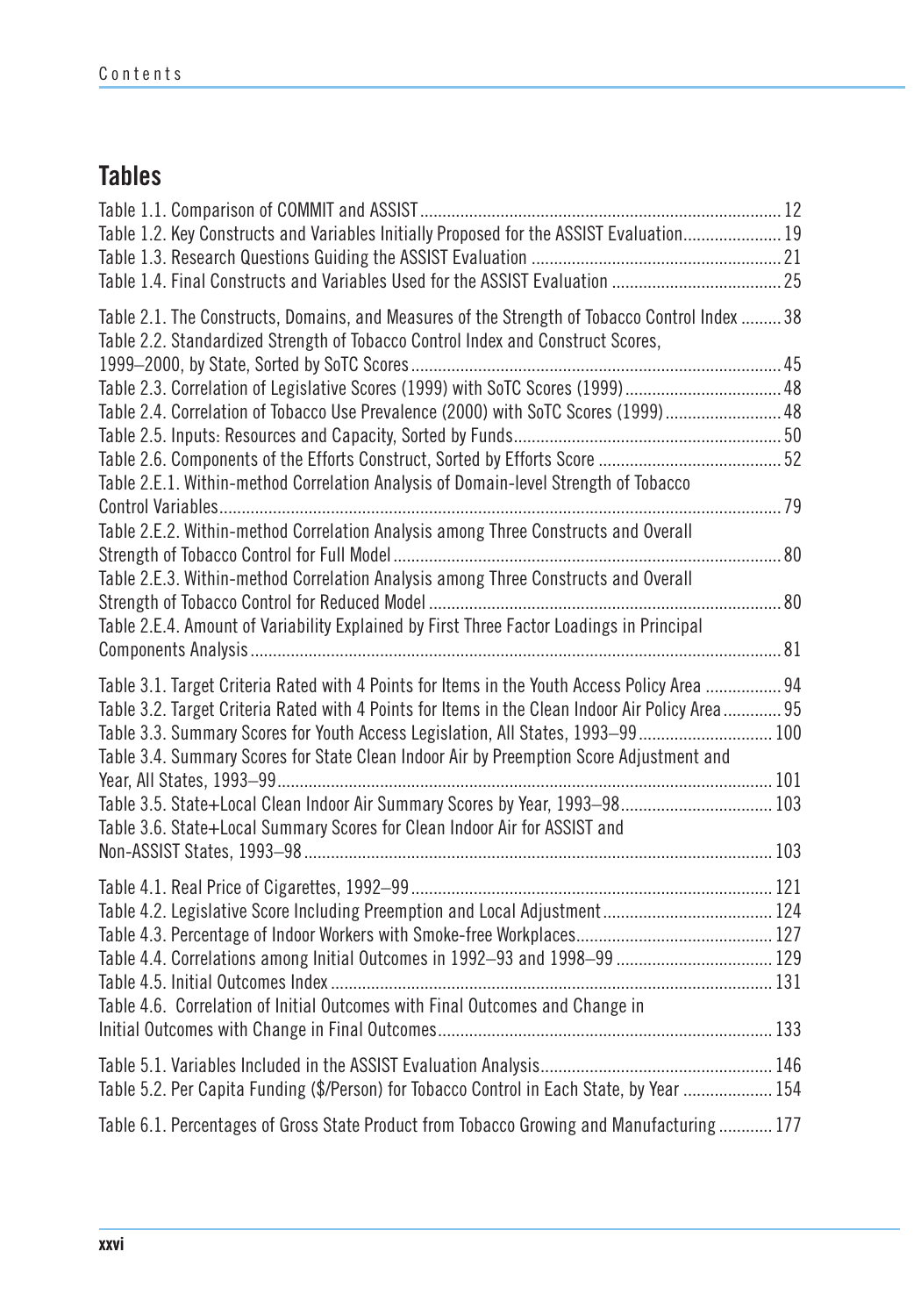### **Tables**

| Table 1.2. Key Constructs and Variables Initially Proposed for the ASSIST Evaluation 19                                                                                                                                                                                                                                                                                                                                                                                                                                                                                                                                               |  |
|---------------------------------------------------------------------------------------------------------------------------------------------------------------------------------------------------------------------------------------------------------------------------------------------------------------------------------------------------------------------------------------------------------------------------------------------------------------------------------------------------------------------------------------------------------------------------------------------------------------------------------------|--|
| Table 2.1. The Constructs, Domains, and Measures of the Strength of Tobacco Control Index  38<br>Table 2.2. Standardized Strength of Tobacco Control Index and Construct Scores,<br>Table 2.4. Correlation of Tobacco Use Prevalence (2000) with SoTC Scores (1999) 48<br>Table 2.E.1. Within-method Correlation Analysis of Domain-level Strength of Tobacco<br>Table 2.E.2. Within-method Correlation Analysis among Three Constructs and Overall<br>Table 2.E.3. Within-method Correlation Analysis among Three Constructs and Overall<br>Table 2.E.4. Amount of Variability Explained by First Three Factor Loadings in Principal |  |
| Table 3.1. Target Criteria Rated with 4 Points for Items in the Youth Access Policy Area  94<br>Table 3.2. Target Criteria Rated with 4 Points for Items in the Clean Indoor Air Policy Area 95<br>Table 3.3. Summary Scores for Youth Access Legislation, All States, 1993–99 100<br>Table 3.4. Summary Scores for State Clean Indoor Air by Preemption Score Adjustment and<br>Table 3.5. State+Local Clean Indoor Air Summary Scores by Year, 1993-98 103<br>Table 3.6. State+Local Summary Scores for Clean Indoor Air for ASSIST and                                                                                             |  |
| Table 4.6. Correlation of Initial Outcomes with Final Outcomes and Change in                                                                                                                                                                                                                                                                                                                                                                                                                                                                                                                                                          |  |
| Table 5.2. Per Capita Funding (\$/Person) for Tobacco Control in Each State, by Year  154<br>Table 6.1. Percentages of Gross State Product from Tobacco Growing and Manufacturing  177                                                                                                                                                                                                                                                                                                                                                                                                                                                |  |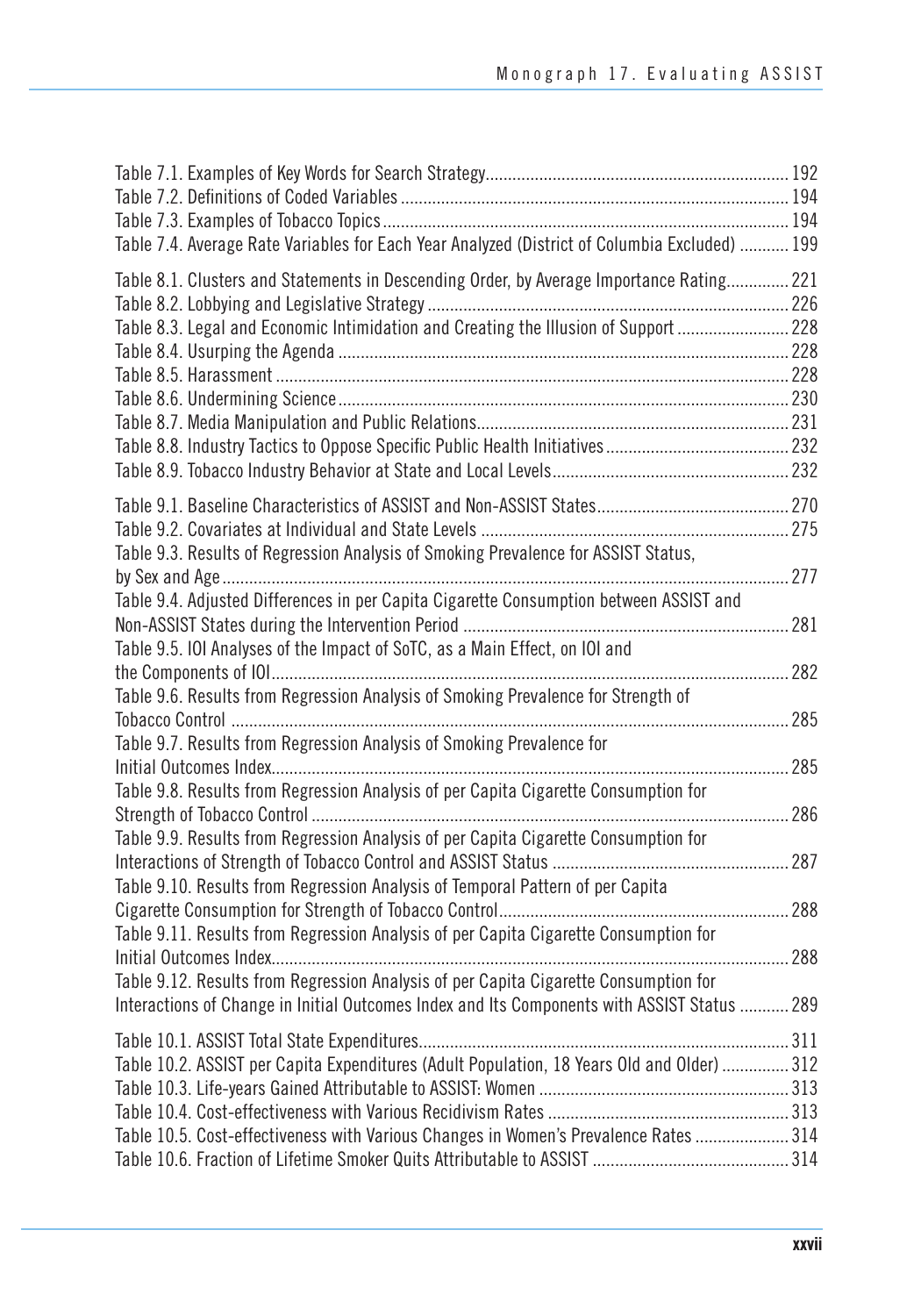| Table 7.4. Average Rate Variables for Each Year Analyzed (District of Columbia Excluded)  199 |     |
|-----------------------------------------------------------------------------------------------|-----|
| Table 8.1. Clusters and Statements in Descending Order, by Average Importance Rating 221      |     |
|                                                                                               |     |
| Table 8.3. Legal and Economic Intimidation and Creating the Illusion of Support  228          |     |
|                                                                                               |     |
|                                                                                               |     |
|                                                                                               |     |
|                                                                                               |     |
|                                                                                               |     |
|                                                                                               |     |
|                                                                                               |     |
|                                                                                               |     |
| Table 9.3. Results of Regression Analysis of Smoking Prevalence for ASSIST Status,            |     |
|                                                                                               | 277 |
| Table 9.4. Adjusted Differences in per Capita Cigarette Consumption between ASSIST and        |     |
|                                                                                               | 281 |
| Table 9.5. IOI Analyses of the Impact of SoTC, as a Main Effect, on IOI and                   |     |
|                                                                                               | 282 |
| Table 9.6. Results from Regression Analysis of Smoking Prevalence for Strength of             |     |
|                                                                                               | 285 |
| Table 9.7. Results from Regression Analysis of Smoking Prevalence for                         |     |
|                                                                                               | 285 |
| Table 9.8. Results from Regression Analysis of per Capita Cigarette Consumption for           |     |
|                                                                                               | 286 |
| Table 9.9. Results from Regression Analysis of per Capita Cigarette Consumption for           |     |
|                                                                                               | 287 |
| Table 9.10. Results from Regression Analysis of Temporal Pattern of per Capita                |     |
|                                                                                               | 288 |
| Table 9.11. Results from Regression Analysis of per Capita Cigarette Consumption for          |     |
|                                                                                               | 288 |
| Table 9.12. Results from Regression Analysis of per Capita Cigarette Consumption for          |     |
| Interactions of Change in Initial Outcomes Index and Its Components with ASSIST Status  289   |     |
|                                                                                               |     |
| Table 10.2. ASSIST per Capita Expenditures (Adult Population, 18 Years Old and Older)  312    |     |
|                                                                                               |     |
|                                                                                               |     |
| Table 10.5. Cost-effectiveness with Various Changes in Women's Prevalence Rates  314          |     |
|                                                                                               |     |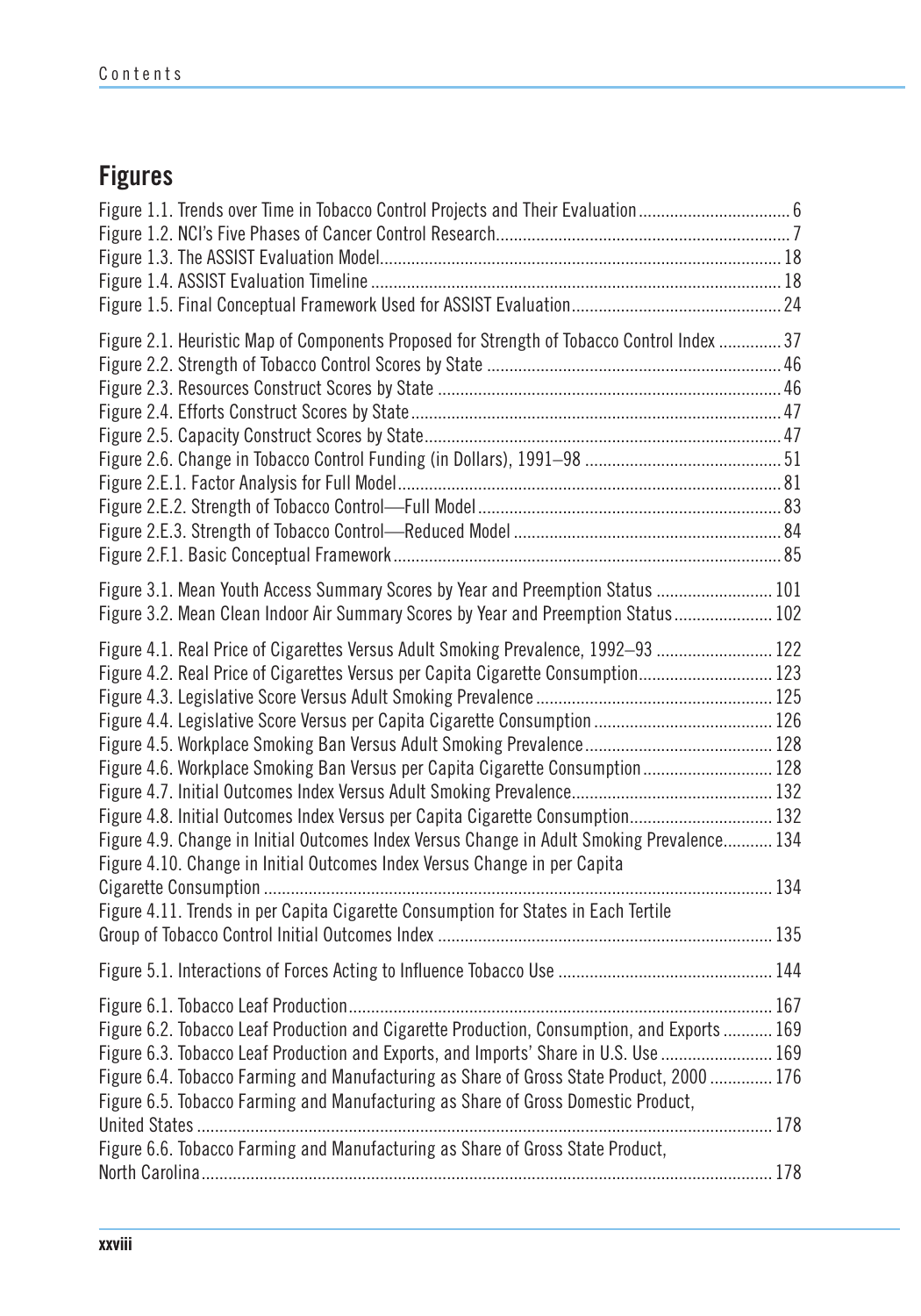# **Figures**

| Figure 1.1. Trends over Time in Tobacco Control Projects and Their Evaluation6                                                                                                                                                                                                                                                                                                                                                                                                                                                                                                                             |  |
|------------------------------------------------------------------------------------------------------------------------------------------------------------------------------------------------------------------------------------------------------------------------------------------------------------------------------------------------------------------------------------------------------------------------------------------------------------------------------------------------------------------------------------------------------------------------------------------------------------|--|
| Figure 2.1. Heuristic Map of Components Proposed for Strength of Tobacco Control Index  37                                                                                                                                                                                                                                                                                                                                                                                                                                                                                                                 |  |
| Figure 3.1. Mean Youth Access Summary Scores by Year and Preemption Status  101<br>Figure 3.2. Mean Clean Indoor Air Summary Scores by Year and Preemption Status 102                                                                                                                                                                                                                                                                                                                                                                                                                                      |  |
| Figure 4.1. Real Price of Cigarettes Versus Adult Smoking Prevalence, 1992-93  122<br>Figure 4.2. Real Price of Cigarettes Versus per Capita Cigarette Consumption 123<br>Figure 4.6. Workplace Smoking Ban Versus per Capita Cigarette Consumption 128<br>Figure 4.8. Initial Outcomes Index Versus per Capita Cigarette Consumption 132<br>Figure 4.9. Change in Initial Outcomes Index Versus Change in Adult Smoking Prevalence 134<br>Figure 4.10. Change in Initial Outcomes Index Versus Change in per Capita<br>Figure 4.11. Trends in per Capita Cigarette Consumption for States in Each Tertile |  |
|                                                                                                                                                                                                                                                                                                                                                                                                                                                                                                                                                                                                            |  |
| Figure 6.2. Tobacco Leaf Production and Cigarette Production, Consumption, and Exports  169<br>Figure 6.3. Tobacco Leaf Production and Exports, and Imports' Share in U.S. Use  169<br>Figure 6.4. Tobacco Farming and Manufacturing as Share of Gross State Product, 2000  176<br>Figure 6.5. Tobacco Farming and Manufacturing as Share of Gross Domestic Product,                                                                                                                                                                                                                                       |  |
| Figure 6.6. Tobacco Farming and Manufacturing as Share of Gross State Product,                                                                                                                                                                                                                                                                                                                                                                                                                                                                                                                             |  |
|                                                                                                                                                                                                                                                                                                                                                                                                                                                                                                                                                                                                            |  |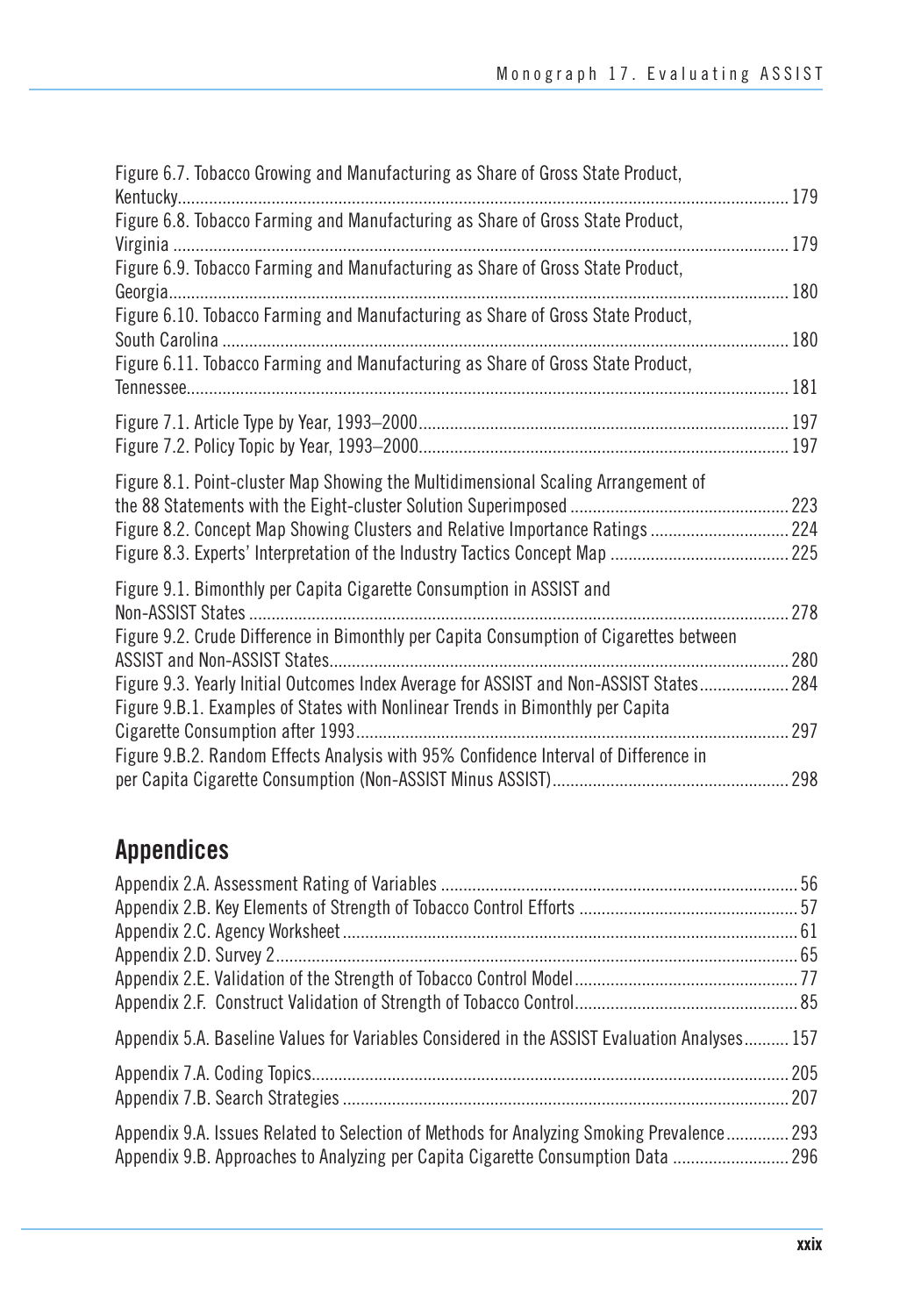| Figure 6.7. Tobacco Growing and Manufacturing as Share of Gross State Product,                                                                                           | $\ldots$ 179 |
|--------------------------------------------------------------------------------------------------------------------------------------------------------------------------|--------------|
| Figure 6.8. Tobacco Farming and Manufacturing as Share of Gross State Product,                                                                                           |              |
| Figure 6.9. Tobacco Farming and Manufacturing as Share of Gross State Product,                                                                                           |              |
| Figure 6.10. Tobacco Farming and Manufacturing as Share of Gross State Product,                                                                                          |              |
| Figure 6.11. Tobacco Farming and Manufacturing as Share of Gross State Product,                                                                                          |              |
|                                                                                                                                                                          |              |
| Figure 8.1. Point-cluster Map Showing the Multidimensional Scaling Arrangement of<br>Figure 8.2. Concept Map Showing Clusters and Relative Importance Ratings  224       |              |
| Figure 9.1. Bimonthly per Capita Cigarette Consumption in ASSIST and<br>Figure 9.2. Crude Difference in Bimonthly per Capita Consumption of Cigarettes between           | 278          |
| Figure 9.3. Yearly Initial Outcomes Index Average for ASSIST and Non-ASSIST States 284<br>Figure 9.B.1. Examples of States with Nonlinear Trends in Bimonthly per Capita |              |
| Figure 9.B.2. Random Effects Analysis with 95% Confidence Interval of Difference in                                                                                      |              |
|                                                                                                                                                                          |              |

# **Appendices**

| Appendix 5.A. Baseline Values for Variables Considered in the ASSIST Evaluation Analyses 157 |  |
|----------------------------------------------------------------------------------------------|--|
|                                                                                              |  |
|                                                                                              |  |
| Appendix 9.A. Issues Related to Selection of Methods for Analyzing Smoking Prevalence 293    |  |
|                                                                                              |  |